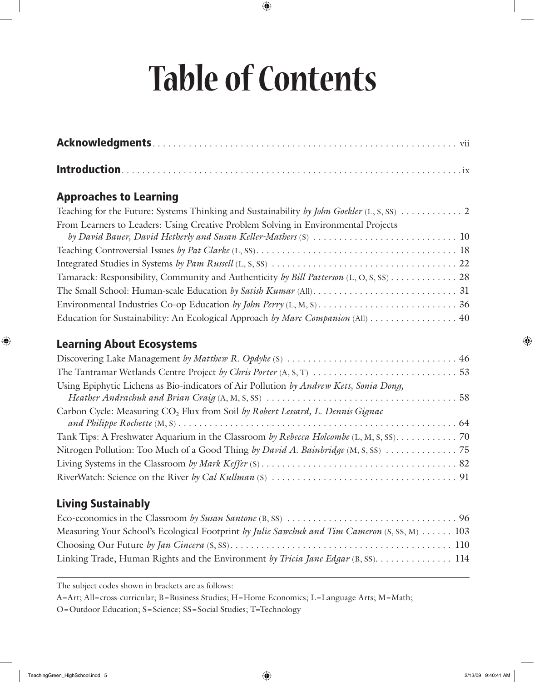# **Table of Contents**

#### Approaches to Learning

| From Learners to Leaders: Using Creative Problem Solving in Environmental Projects      |
|-----------------------------------------------------------------------------------------|
|                                                                                         |
|                                                                                         |
|                                                                                         |
| Tamarack: Responsibility, Community and Authenticity by Bill Patterson (L, O, S, SS) 28 |
|                                                                                         |
|                                                                                         |
| Education for Sustainability: An Ecological Approach by Marc Companion (All) 40         |

#### Learning About Ecosystems

| Using Epiphytic Lichens as Bio-indicators of Air Pollution by Andrew Kett, Sonia Dong,     |  |
|--------------------------------------------------------------------------------------------|--|
| Carbon Cycle: Measuring CO <sub>2</sub> Flux from Soil by Robert Lessard, L. Dennis Gignac |  |
| Tank Tips: A Freshwater Aquarium in the Classroom by Rebecca Holcombe (L, M, S, SS). 70    |  |
|                                                                                            |  |
|                                                                                            |  |
|                                                                                            |  |

## Living Sustainably

| Measuring Your School's Ecological Footprint by Julie Sawchuk and Tim Cameron (S, SS, M)  103 |  |
|-----------------------------------------------------------------------------------------------|--|
|                                                                                               |  |
|                                                                                               |  |

The subject codes shown in brackets are as follows:

A=Art; All=cross-curricular; B=Business Studies; H=Home Economics; L=Language Arts; M=Math;

O=Outdoor Education; S=Science; SS=Social Studies; T=Technology